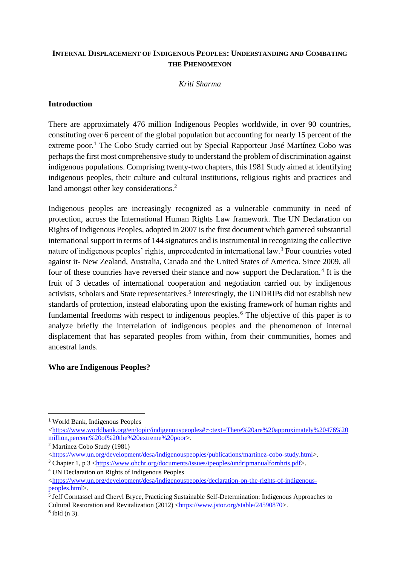# **INTERNAL DISPLACEMENT OF INDIGENOUS PEOPLES: UNDERSTANDING AND COMBATING THE PHENOMENON**

### *Kriti Sharma*

## **Introduction**

There are approximately 476 million Indigenous Peoples worldwide, in over 90 countries, constituting over 6 percent of the global population but accounting for nearly 15 percent of the extreme poor.<sup>1</sup> The Cobo Study carried out by Special Rapporteur José Martínez Cobo was perhaps the first most comprehensive study to understand the problem of discrimination against indigenous populations. Comprising twenty-two chapters, this 1981 Study aimed at identifying indigenous peoples, their culture and cultural institutions, religious rights and practices and land amongst other key considerations.<sup>2</sup>

Indigenous peoples are increasingly recognized as a vulnerable community in need of protection, across the International Human Rights Law framework. The UN Declaration on Rights of Indigenous Peoples, adopted in 2007 is the first document which garnered substantial international support in terms of 144 signatures and is instrumental in recognizing the collective nature of indigenous peoples' rights, unprecedented in international law.<sup>3</sup> Four countries voted against it- New Zealand, Australia, Canada and the United States of America. Since 2009, all four of these countries have reversed their stance and now support the Declaration.<sup>4</sup> It is the fruit of 3 decades of international cooperation and negotiation carried out by indigenous activists, scholars and State representatives.<sup>5</sup> Interestingly, the UNDRIPs did not establish new standards of protection, instead elaborating upon the existing framework of human rights and fundamental freedoms with respect to indigenous peoples.<sup>6</sup> The objective of this paper is to analyze briefly the interrelation of indigenous peoples and the phenomenon of internal displacement that has separated peoples from within, from their communities, homes and ancestral lands.

#### **Who are Indigenous Peoples?**

<sup>1</sup> World Bank, Indigenous Peoples

[<sup>&</sup>lt;https://www.worldbank.org/en/topic/indigenouspeoples#:~:text=There%20are%20approximately%20476%20](https://www.worldbank.org/en/topic/indigenouspeoples#:~:text=There%20are%20approximately%20476%20million,percent%20of%20the%20extreme%20poor) [million,percent%20of%20the%20extreme%20poor>](https://www.worldbank.org/en/topic/indigenouspeoples#:~:text=There%20are%20approximately%20476%20million,percent%20of%20the%20extreme%20poor).

<sup>2</sup> Martinez Cobo Study (1981)

[<sup>&</sup>lt;https://www.un.org/development/desa/indigenouspeoples/publications/martinez-cobo-study.html>](https://www.un.org/development/desa/indigenouspeoples/publications/martinez-cobo-study.html).

<sup>3</sup> Chapter 1, p 3 [<https://www.ohchr.org/documents/issues/ipeoples/undripmanualfornhris.pdf>](https://www.ohchr.org/documents/issues/ipeoples/undripmanualfornhris.pdf).

<sup>4</sup> UN Declaration on Rights of Indigenous Peoples

[<sup>&</sup>lt;https://www.un.org/development/desa/indigenouspeoples/declaration-on-the-rights-of-indigenous](https://www.un.org/development/desa/indigenouspeoples/declaration-on-the-rights-of-indigenous-peoples.html)[peoples.html>](https://www.un.org/development/desa/indigenouspeoples/declaration-on-the-rights-of-indigenous-peoples.html).

<sup>&</sup>lt;sup>5</sup> Jeff Corntassel and Cheryl Bryce, Practicing Sustainable Self-Determination: Indigenous Approaches to Cultural Restoration and Revitalization (2012) [<https://www.jstor.org/stable/24590870>](https://www.jstor.org/stable/24590870).

 $6$  ibid (n 3).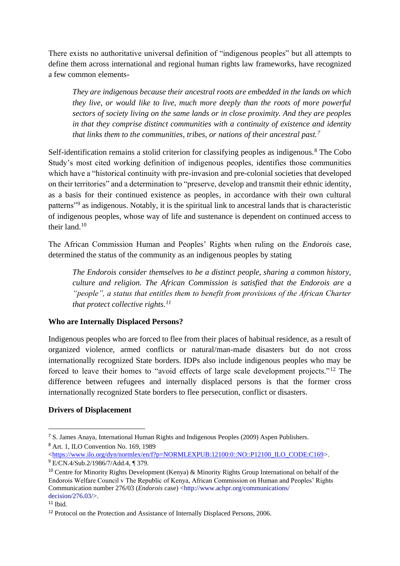There exists no authoritative universal definition of "indigenous peoples" but all attempts to define them across international and regional human rights law frameworks, have recognized a few common elements-

*They are indigenous because their ancestral roots are embedded in the lands on which they live, or would like to live, much more deeply than the roots of more powerful sectors of society living on the same lands or in close proximity. And they are peoples in that they comprise distinct communities with a continuity of existence and identity that links them to the communities, tribes, or nations of their ancestral past.<sup>7</sup>*

Self-identification remains a stolid criterion for classifying peoples as indigenous.<sup>8</sup> The Cobo Study's most cited working definition of indigenous peoples, identifies those communities which have a "historical continuity with pre-invasion and pre-colonial societies that developed on their territories" and a determination to "preserve, develop and transmit their ethnic identity, as a basis for their continued existence as peoples, in accordance with their own cultural patterns"<sup>9</sup> as indigenous. Notably, it is the spiritual link to ancestral lands that is characteristic of indigenous peoples, whose way of life and sustenance is dependent on continued access to their land.<sup>10</sup>

The African Commission Human and Peoples' Rights when ruling on the *Endorois* case, determined the status of the community as an indigenous peoples by stating

*The Endorois consider themselves to be a distinct people, sharing a common history, culture and religion. The African Commission is satisfied that the Endorois are a "people", a status that entitles them to benefit from provisions of the African Charter that protect collective rights.<sup>11</sup>*

# **Who are Internally Displaced Persons?**

Indigenous peoples who are forced to flee from their places of habitual residence, as a result of organized violence, armed conflicts or natural/man-made disasters but do not cross internationally recognized State borders. IDPs also include indigenous peoples who may be forced to leave their homes to "avoid effects of large scale development projects."<sup>12</sup> The difference between refugees and internally displaced persons is that the former cross internationally recognized State borders to flee persecution, conflict or disasters.

## **Drivers of Displacement**

<sup>7</sup> S. James Anaya, International Human Rights and Indigenous Peoples (2009) Aspen Publishers. <sup>8</sup> Art. 1, ILO Convention No. 169, 1989

[<sup>&</sup>lt;https://www.ilo.org/dyn/normlex/en/f?p=NORMLEXPUB:12100:0::NO::P12100\\_ILO\\_CODE:C169>](https://www.ilo.org/dyn/normlex/en/f?p=NORMLEXPUB:12100:0::NO::P12100_ILO_CODE:C169). <sup>9</sup> E/CN.4/Sub.2/1986/7/Add.4, ¶ 379.

<sup>10</sup> Centre for Minority Rights Development (Kenya) & Minority Rights Group International on behalf of the Endorois Welfare Council v The Republic of Kenya, African Commission on Human and Peoples' Rights Communication number 276/03 (*Endorois* case) <http://www.achpr.org/communications/ decision/276.03/>.

 $11$  Ibid.

<sup>&</sup>lt;sup>12</sup> Protocol on the Protection and Assistance of Internally Displaced Persons, 2006.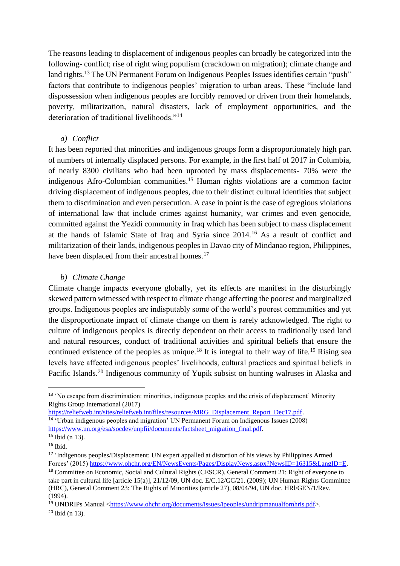The reasons leading to displacement of indigenous peoples can broadly be categorized into the following- conflict; rise of right wing populism (crackdown on migration); climate change and land rights.<sup>13</sup> The UN Permanent Forum on Indigenous Peoples Issues identifies certain "push" factors that contribute to indigenous peoples' migration to urban areas. These "include land dispossession when indigenous peoples are forcibly removed or driven from their homelands, poverty, militarization, natural disasters, lack of employment opportunities, and the deterioration of traditional livelihoods."<sup>14</sup>

#### *a) Conflict*

It has been reported that minorities and indigenous groups form a disproportionately high part of numbers of internally displaced persons. For example, in the first half of 2017 in Columbia, of nearly 8300 civilians who had been uprooted by mass displacements- 70% were the indigenous Afro-Colombian communities.<sup>15</sup> Human rights violations are a common factor driving displacement of indigenous peoples, due to their distinct cultural identities that subject them to discrimination and even persecution. A case in point is the case of egregious violations of international law that include crimes against humanity, war crimes and even genocide, committed against the Yezidi community in Iraq which has been subject to mass displacement at the hands of Islamic State of Iraq and Syria since 2014.<sup>16</sup> As a result of conflict and militarization of their lands, indigenous peoples in Davao city of Mindanao region, Philippines, have been displaced from their ancestral homes.<sup>17</sup>

#### *b) Climate Change*

Climate change impacts everyone globally, yet its effects are manifest in the disturbingly skewed pattern witnessed with respect to climate change affecting the poorest and marginalized groups. Indigenous peoples are indisputably some of the world's poorest communities and yet the disproportionate impact of climate change on them is rarely acknowledged. The right to culture of indigenous peoples is directly dependent on their access to traditionally used land and natural resources, conduct of traditional activities and spiritual beliefs that ensure the continued existence of the peoples as unique.<sup>18</sup> It is integral to their way of life.<sup>19</sup> Rising sea levels have affected indigenous peoples' livelihoods, cultural practices and spiritual beliefs in Pacific Islands.<sup>20</sup> Indigenous community of Yupik subsist on hunting walruses in Alaska and

[https://reliefweb.int/sites/reliefweb.int/files/resources/MRG\\_Displacement\\_Report\\_Dec17.pdf.](https://reliefweb.int/sites/reliefweb.int/files/resources/MRG_Displacement_Report_Dec17.pdf)

<sup>13</sup> 'No escape from discrimination: minorities, indigenous peoples and the crisis of displacement' Minority Rights Group International (2017)

<sup>&</sup>lt;sup>14</sup> 'Urban indigenous peoples and migration' UN Permanent Forum on Indigenous Issues (2008) [https://www.un.org/esa/socdev/unpfii/documents/factsheet\\_migration\\_final.pdf.](https://www.un.org/esa/socdev/unpfii/documents/factsheet_migration_final.pdf)

<sup>15</sup> Ibid (n 13).

 $16$  Ibid.

<sup>&</sup>lt;sup>17</sup> 'Indigenous peoples/Displacement: UN expert appalled at distortion of his views by Philippines Armed Forces' (2015[\) https://www.ohchr.org/EN/NewsEvents/Pages/DisplayNews.aspx?NewsID=16315&LangID=E.](https://www.ohchr.org/EN/NewsEvents/Pages/DisplayNews.aspx?NewsID=16315&LangID=E)

<sup>18</sup> Committee on Economic, Social and Cultural Rights (CESCR). General Comment 21: Right of everyone to take part in cultural life [article 15(a)], 21/12/09, UN doc. E/C.12/GC/21. (2009); UN Human Rights Committee (HRC), General Comment 23: The Rights of Minorities (article 27), 08/04/94, UN doc. HRl/GEN/1/Rev. (1994).

<sup>19</sup> UNDRIPs Manual [<https://www.ohchr.org/documents/issues/ipeoples/undripmanualfornhris.pdf>](https://www.ohchr.org/documents/issues/ipeoples/undripmanualfornhris.pdf).  $20$  Ibid (n 13).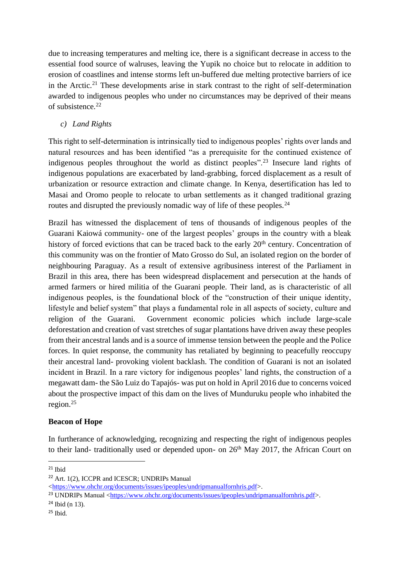due to increasing temperatures and melting ice, there is a significant decrease in access to the essential food source of walruses, leaving the Yupik no choice but to relocate in addition to erosion of coastlines and intense storms left un-buffered due melting protective barriers of ice in the Arctic.<sup>21</sup> These developments arise in stark contrast to the right of self-determination awarded to indigenous peoples who under no circumstances may be deprived of their means of subsistence.<sup>22</sup>

*c) Land Rights*

This right to self-determination is intrinsically tied to indigenous peoples' rights over lands and natural resources and has been identified "as a prerequisite for the continued existence of indigenous peoples throughout the world as distinct peoples".<sup>23</sup> Insecure land rights of indigenous populations are exacerbated by land-grabbing, forced displacement as a result of urbanization or resource extraction and climate change. In Kenya, desertification has led to Masai and Oromo people to relocate to urban settlements as it changed traditional grazing routes and disrupted the previously nomadic way of life of these peoples.<sup>24</sup>

Brazil has witnessed the displacement of tens of thousands of indigenous peoples of the Guarani Kaiowá community- one of the largest peoples' groups in the country with a bleak history of forced evictions that can be traced back to the early 20<sup>th</sup> century. Concentration of this community was on the frontier of Mato Grosso do Sul, an isolated region on the border of neighbouring Paraguay. As a result of extensive agribusiness interest of the Parliament in Brazil in this area, there has been widespread displacement and persecution at the hands of armed farmers or hired militia of the Guarani people. Their land, as is characteristic of all indigenous peoples, is the foundational block of the "construction of their unique identity, lifestyle and belief system" that plays a fundamental role in all aspects of society, culture and religion of the Guarani. Government economic policies which include large-scale deforestation and creation of vast stretches of sugar plantations have driven away these peoples from their ancestral lands and is a source of immense tension between the people and the Police forces. In quiet response, the community has retaliated by beginning to peacefully reoccupy their ancestral land- provoking violent backlash. The condition of Guarani is not an isolated incident in Brazil. In a rare victory for indigenous peoples' land rights, the construction of a megawatt dam- the São Luiz do Tapajós- was put on hold in April 2016 due to concerns voiced about the prospective impact of this dam on the lives of Munduruku people who inhabited the region.<sup>25</sup>

# **Beacon of Hope**

In furtherance of acknowledging, recognizing and respecting the right of indigenous peoples to their land- traditionally used or depended upon- on 26<sup>th</sup> May 2017, the African Court on

 $24$  Ibid (n 13).

 $21$  Ibid

<sup>22</sup> Art. 1(2), ICCPR and ICESCR; UNDRIPs Manual

[<sup>&</sup>lt;https://www.ohchr.org/documents/issues/ipeoples/undripmanualfornhris.pdf>](https://www.ohchr.org/documents/issues/ipeoples/undripmanualfornhris.pdf).

<sup>&</sup>lt;sup>23</sup> UNDRIPs Manual [<https://www.ohchr.org/documents/issues/ipeoples/undripmanualfornhris.pdf>](https://www.ohchr.org/documents/issues/ipeoples/undripmanualfornhris.pdf).

 $25$  Ibid.